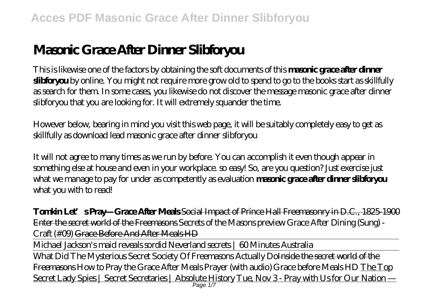# **Masonic Grace After Dinner Slibforyou**

This is likewise one of the factors by obtaining the soft documents of this **masonic grace after dinner slibforyou** by online. You might not require more grow old to spend to go to the books start as skillfully as search for them. In some cases, you likewise do not discover the message masonic grace after dinner slibforyou that you are looking for. It will extremely squander the time.

However below, bearing in mind you visit this web page, it will be suitably completely easy to get as skillfully as download lead masonic grace after dinner slibforyou

It will not agree to many times as we run by before. You can accomplish it even though appear in something else at house and even in your workplace. so easy! So, are you question? Just exercise just what we manage to pay for under as competently as evaluation **masonic grace after dinner slibforyou** what you with to read!

**Tomkin Let's Pray—Grace After Meals** Social Impact of Prince Hall Freemasonry in D.C., 1825-1900 Enter the secret world of the Freemasons *Secrets of the Masons preview* Grace After Dining (Sung) - Craft (#09) Grace Before And After Meals HD

Michael Jackson's maid reveals sordid Neverland secrets | 60 Minutes Australia

What Did The Mysterious Secret Society Of Freemasons Actually DoInside the secret world of the Freemasons How to Pray the Grace After Meals Prayer (with audio) *Grace before Meals HD* The Top Secret Lady Spies | Secret Secretaries | Absolute History Tue, Nov 3 - Pray with Us for Our Nation —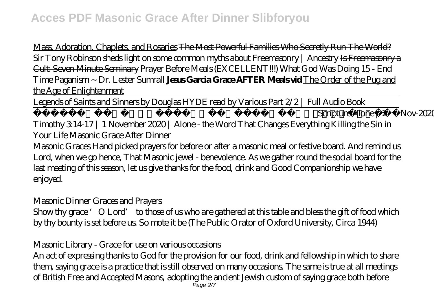Mass, Adoration, Chaplets, and Rosaries The Most Powerful Families Who Secretly Run The World? *Sir Tony Robinson sheds light on some common myths about Freemasonry | Ancestry Is Freemasonry a* Cult: Seven Minute Seminary Prayer Before Meals (EXCELLENT!!!) What God Was Doing 15 - End Time Paganism ~ Dr. Lester Sumrall **Jesus Garcia Grace AFTER Meals vid** The Order of the Pug and the Age of Enlightenment

Legends of Saints and Sinners by Douglas HYDE read by Various Part 2/2 | Full Audio Book

LIVE Q\u0026A || ENGLISH Session || 2-Nov-2020 || Ask Pastor Finn Seripture Alone | 2 Timothy 3:14-17 | 1 November 2020 | Alone - the Word That Changes Everything Killing the Sin in Your Life Masonic Grace After Dinner

Masonic Graces Hand picked prayers for before or after a masonic meal or festive board. And remind us Lord, when we go hence, That Masonic jewel - benevolence. As we gather round the social board for the last meeting of this season, let us give thanks for the food, drink and Good Companionship we have enjoyed.

Masonic Dinner Graces and Prayers

Show thy grace 'O Lord' to those of us who are gathered at this table and bless the gift of food which by thy bounty is set before us. So mote it be (The Public Orator of Oxford University, Circa 1944)

Masonic Library - Grace for use on various occasions

An act of expressing thanks to God for the provision for our food, drink and fellowship in which to share them, saying grace is a practice that is still observed on many occasions. The same is true at all meetings of British Free and Accepted Masons, adopting the ancient Jewish custom of saying grace both before Page 2/7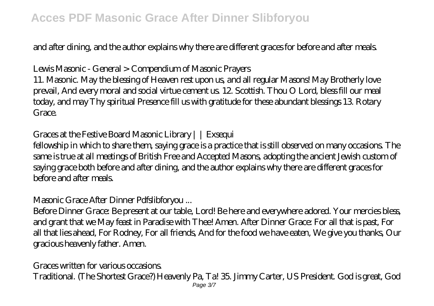### **Acces PDF Masonic Grace After Dinner Slibforyou**

and after dining, and the author explains why there are different graces for before and after meals.

Lewis Masonic - General > Compendium of Masonic Prayers

11. Masonic. May the blessing of Heaven rest upon us, and all regular Masons! May Brotherly love prevail, And every moral and social virtue cement us. 12. Scottish. Thou O Lord, bless fill our meal today, and may Thy spiritual Presence fill us with gratitude for these abundant blessings 13. Rotary Grace

Graces at the Festive Board Masonic Library | | Exsequi

fellowship in which to share them, saying grace is a practice that is still observed on many occasions. The same is true at all meetings of British Free and Accepted Masons, adopting the ancient Jewish custom of saying grace both before and after dining, and the author explains why there are different graces for before and after meals.

Masonic Grace After Dinner Pdfslibforyou ...

Before Dinner Grace: Be present at our table, Lord! Be here and everywhere adored. Your mercies bless, and grant that we May feast in Paradise with Thee! Amen. After Dinner Grace: For all that is past, For all that lies ahead, For Rodney, For all friends, And for the food we have eaten, We give you thanks, Our gracious heavenly father. Amen.

Graces written for various occasions.

Traditional. (The Shortest Grace?) Heavenly Pa, Ta! 35. Jimmy Carter, US President. God is great, God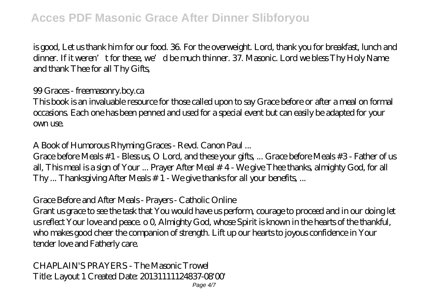is good, Let us thank him for our food. 36. For the overweight. Lord, thank you for breakfast, lunch and dinner. If it weren't for these, we'd be much thinner. 37. Masonic. Lord we bless Thy Holy Name and thank Thee for all Thy Gifts,

99 Graces - freemasonry.bcy.ca

This book is an invaluable resource for those called upon to say Grace before or after a meal on formal occasions. Each one has been penned and used for a special event but can easily be adapted for your own use.

A Book of Humorous Rhyming Graces - Revd. Canon Paul ...

Grace before Meals #1 - Bless us, O Lord, and these your gifts, ... Grace before Meals #3 - Father of us all, This meal is a sign of Your ... Prayer After Meal # 4 - We give Thee thanks, almighty God, for all Thy ... Thanksgiving After Meals # 1 - We give thanks for all your benefits, ...

Grace Before and After Meals - Prayers - Catholic Online

Grant us grace to see the task that You would have us perform, courage to proceed and in our doing let us reflect Your love and peace. o 0, Almighty God, whose Spirit is known in the hearts of the thankful, who makes good cheer the companion of strength. Lift up our hearts to joyous confidence in Your tender love and Fatherly care.

CHAPLAIN'S PRAYERS - The Masonic Trowel Title: Layout 1 Created Date: 20131111124837-08'00'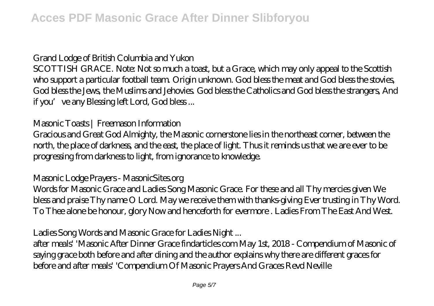Grand Lodge of British Columbia and Yukon

SCOTTISH GRACE. Note: Not so much a toast, but a Grace, which may only appeal to the Scottish who support a particular football team. Origin unknown. God bless the meat and God bless the stovies, God bless the Jews, the Muslims and Jehovies. God bless the Catholics and God bless the strangers, And if you've any Blessing left Lord, God bless...

Masonic Toasts | Freemason Information

Gracious and Great God Almighty, the Masonic cornerstone lies in the northeast corner, between the north, the place of darkness, and the east, the place of light. Thus it reminds us that we are ever to be progressing from darkness to light, from ignorance to knowledge.

Masonic Lodge Prayers - MasonicSites.org

Words for Masonic Grace and Ladies Song Masonic Grace. For these and all Thy mercies given We bless and praise Thy name O Lord. May we receive them with thanks-giving Ever trusting in Thy Word. To Thee alone be honour, glory Now and henceforth for evermore . Ladies From The East And West.

Ladies Song Words and Masonic Grace for Ladies Night ...

after meals' 'Masonic After Dinner Grace findarticles com May 1st, 2018 - Compendium of Masonic of saying grace both before and after dining and the author explains why there are different graces for before and after meals' 'Compendium Of Masonic Prayers And Graces Revd Neville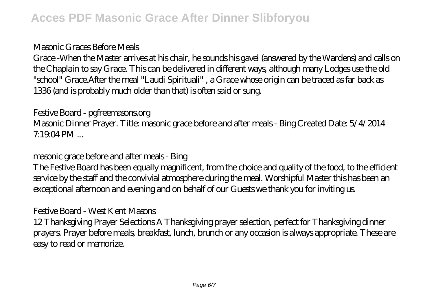#### Masonic Graces Before Meals

Grace -When the Master arrives at his chair, he sounds his gavel (answered by the Wardens) and calls on the Chaplain to say Grace. This can be delivered in different ways, although many Lodges use the old "school" Grace.After the meal "Laudi Spirituali" , a Grace whose origin can be traced as far back as 1336 (and is probably much older than that) is often said or sung.

Festive Board - pgfreemasons.org

Masonic Dinner Prayer. Title: masonic grace before and after meals - Bing Created Date: 5/4/2014  $7.1904 \, \text{PM}$  ...

masonic grace before and after meals - Bing

The Festive Board has been equally magnificent, from the choice and quality of the food, to the efficient service by the staff and the convivial atmosphere during the meal. Worshipful Master this has been an exceptional afternoon and evening and on behalf of our Guests we thank you for inviting us.

### Festive Board - West Kent Masons

12 Thanksgiving Prayer Selections A Thanksgiving prayer selection, perfect for Thanksgiving dinner prayers. Prayer before meals, breakfast, lunch, brunch or any occasion is always appropriate. These are easy to read or memorize.